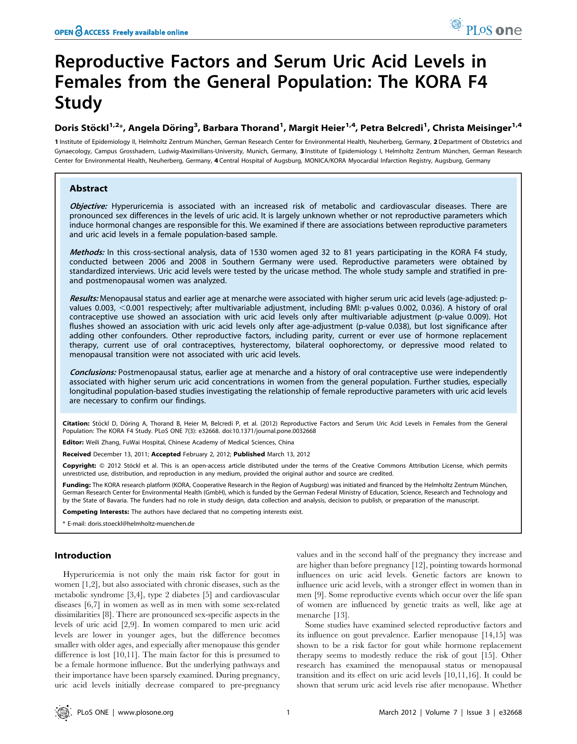# Reproductive Factors and Serum Uric Acid Levels in Females from the General Population: The KORA F4 Study

# Doris Stöckl<sup>1,2</sup>\*, Angela Döring<sup>3</sup>, Barbara Thorand<sup>1</sup>, Margit Heier<sup>1,4</sup>, Petra Belcredi<sup>1</sup>, Christa Meisinger<sup>1,4</sup>

1 Institute of Epidemiology II, Helmholtz Zentrum München, German Research Center for Environmental Health, Neuherberg, Germany, 2 Department of Obstetrics and Gynaecology, Campus Grosshadern, Ludwig-Maximilians-University, Munich, Germany, 3 Institute of Epidemiology I, Helmholtz Zentrum München, German Research Center for Environmental Health, Neuherberg, Germany, 4 Central Hospital of Augsburg, MONICA/KORA Myocardial Infarction Registry, Augsburg, Germany

# Abstract

Objective: Hyperuricemia is associated with an increased risk of metabolic and cardiovascular diseases. There are pronounced sex differences in the levels of uric acid. It is largely unknown whether or not reproductive parameters which induce hormonal changes are responsible for this. We examined if there are associations between reproductive parameters and uric acid levels in a female population-based sample.

Methods: In this cross-sectional analysis, data of 1530 women aged 32 to 81 years participating in the KORA F4 study, conducted between 2006 and 2008 in Southern Germany were used. Reproductive parameters were obtained by standardized interviews. Uric acid levels were tested by the uricase method. The whole study sample and stratified in preand postmenopausal women was analyzed.

Results: Menopausal status and earlier age at menarche were associated with higher serum uric acid levels (age-adjusted: pvalues 0.003, <0.001 respectively; after multivariable adjustment, including BMI: p-values 0.002, 0.036). A history of oral contraceptive use showed an association with uric acid levels only after multivariable adjustment (p-value 0.009). Hot flushes showed an association with uric acid levels only after age-adjustment (p-value 0.038), but lost significance after adding other confounders. Other reproductive factors, including parity, current or ever use of hormone replacement therapy, current use of oral contraceptives, hysterectomy, bilateral oophorectomy, or depressive mood related to menopausal transition were not associated with uric acid levels.

Conclusions: Postmenopausal status, earlier age at menarche and a history of oral contraceptive use were independently associated with higher serum uric acid concentrations in women from the general population. Further studies, especially longitudinal population-based studies investigating the relationship of female reproductive parameters with uric acid levels are necessary to confirm our findings.

Citation: Stöckl D, Döring A, Thorand B, Heier M, Belcredi P, et al. (2012) Reproductive Factors and Serum Uric Acid Levels in Females from the General Population: The KORA F4 Study. PLoS ONE 7(3): e32668. doi:10.1371/journal.pone.0032668

Editor: Weili Zhang, FuWai Hospital, Chinese Academy of Medical Sciences, China

Received December 13, 2011; Accepted February 2, 2012; Published March 13, 2012

Copyright: © 2012 Stöckl et al. This is an open-access article distributed under the terms of the Creative Commons Attribution License, which permits unrestricted use, distribution, and reproduction in any medium, provided the original author and source are credited.

Funding: The KORA research platform (KORA, Cooperative Research in the Region of Augsburg) was initiated and financed by the Helmholtz Zentrum München, German Research Center for Environmental Health (GmbH), which is funded by the German Federal Ministry of Education, Science, Research and Technology and by the State of Bavaria. The funders had no role in study design, data collection and analysis, decision to publish, or preparation of the manuscript.

Competing Interests: The authors have declared that no competing interests exist.

\* E-mail: doris.stoeckl@helmholtz-muenchen.de

## Introduction

Hyperuricemia is not only the main risk factor for gout in women [1,2], but also associated with chronic diseases, such as the metabolic syndrome [3,4], type 2 diabetes [5] and cardiovascular diseases [6,7] in women as well as in men with some sex-related dissimilarities [8]. There are pronounced sex-specific aspects in the levels of uric acid [2,9]. In women compared to men uric acid levels are lower in younger ages, but the difference becomes smaller with older ages, and especially after menopause this gender difference is lost [10,11]. The main factor for this is presumed to be a female hormone influence. But the underlying pathways and their importance have been sparsely examined. During pregnancy, uric acid levels initially decrease compared to pre-pregnancy

values and in the second half of the pregnancy they increase and are higher than before pregnancy [12], pointing towards hormonal influences on uric acid levels. Genetic factors are known to influence uric acid levels, with a stronger effect in women than in men [9]. Some reproductive events which occur over the life span of women are influenced by genetic traits as well, like age at menarche [13].

Some studies have examined selected reproductive factors and its influence on gout prevalence. Earlier menopause [14,15] was shown to be a risk factor for gout while hormone replacement therapy seems to modestly reduce the risk of gout [15]. Other research has examined the menopausal status or menopausal transition and its effect on uric acid levels [10,11,16]. It could be shown that serum uric acid levels rise after menopause. Whether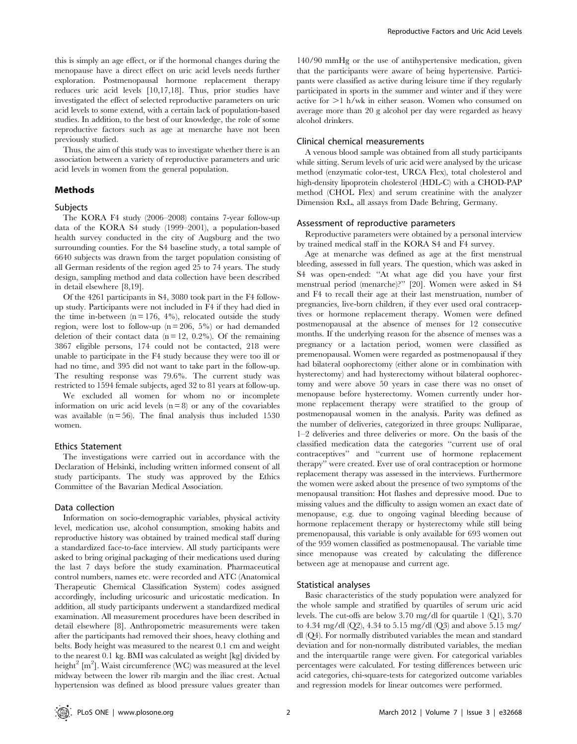this is simply an age effect, or if the hormonal changes during the menopause have a direct effect on uric acid levels needs further exploration. Postmenopausal hormone replacement therapy reduces uric acid levels [10,17,18]. Thus, prior studies have investigated the effect of selected reproductive parameters on uric acid levels to some extend, with a certain lack of population-based studies. In addition, to the best of our knowledge, the role of some reproductive factors such as age at menarche have not been previously studied.

Thus, the aim of this study was to investigate whether there is an association between a variety of reproductive parameters and uric acid levels in women from the general population.

# Methods

# Subjects

The KORA F4 study (2006–2008) contains 7-year follow-up data of the KORA S4 study (1999–2001), a population-based health survey conducted in the city of Augsburg and the two surrounding counties. For the S4 baseline study, a total sample of 6640 subjects was drawn from the target population consisting of all German residents of the region aged 25 to 74 years. The study design, sampling method and data collection have been described in detail elsewhere [8,19].

Of the 4261 participants in S4, 3080 took part in the F4 followup study. Participants were not included in F4 if they had died in the time in-between  $(n = 176, 4\%)$ , relocated outside the study region, were lost to follow-up ( $n = 206, 5\%$ ) or had demanded deletion of their contact data  $(n = 12, 0.2\%)$ . Of the remaining 3867 eligible persons, 174 could not be contacted, 218 were unable to participate in the F4 study because they were too ill or had no time, and 395 did not want to take part in the follow-up. The resulting response was 79.6%. The current study was restricted to 1594 female subjects, aged 32 to 81 years at follow-up.

We excluded all women for whom no or incomplete information on uric acid levels  $(n = 8)$  or any of the covariables was available  $(n = 56)$ . The final analysis thus included 1530 women.

#### Ethics Statement

The investigations were carried out in accordance with the Declaration of Helsinki, including written informed consent of all study participants. The study was approved by the Ethics Committee of the Bavarian Medical Association.

#### Data collection

Information on socio-demographic variables, physical activity level, medication use, alcohol consumption, smoking habits and reproductive history was obtained by trained medical staff during a standardized face-to-face interview. All study participants were asked to bring original packaging of their medications used during the last 7 days before the study examination. Pharmaceutical control numbers, names etc. were recorded and ATC (Anatomical Therapeutic Chemical Classification System) codes assigned accordingly, including uricosuric and uricostatic medication. In addition, all study participants underwent a standardized medical examination. All measurement procedures have been described in detail elsewhere [8]. Anthropometric measurements were taken after the participants had removed their shoes, heavy clothing and belts. Body height was measured to the nearest 0.1 cm and weight to the nearest 0.1 kg. BMI was calculated as weight [kg] divided by height<sup>2</sup> [m<sup>2</sup>]. Waist circumference (WC) was measured at the level midway between the lower rib margin and the iliac crest. Actual hypertension was defined as blood pressure values greater than

140/90 mmHg or the use of antihypertensive medication, given that the participants were aware of being hypertensive. Participants were classified as active during leisure time if they regularly participated in sports in the summer and winter and if they were active for  $>1$  h/wk in either season. Women who consumed on average more than 20 g alcohol per day were regarded as heavy alcohol drinkers.

#### Clinical chemical measurements

A venous blood sample was obtained from all study participants while sitting. Serum levels of uric acid were analysed by the uricase method (enzymatic color-test, URCA Flex), total cholesterol and high-density lipoprotein cholesterol (HDL-C) with a CHOD-PAP method (CHOL Flex) and serum creatinine with the analyzer Dimension RxL, all assays from Dade Behring, Germany.

#### Assessment of reproductive parameters

Reproductive parameters were obtained by a personal interview by trained medical staff in the KORA S4 and F4 survey.

Age at menarche was defined as age at the first menstrual bleeding, assessed in full years. The question, which was asked in S4 was open-ended: ''At what age did you have your first menstrual period (menarche)?'' [20]. Women were asked in S4 and F4 to recall their age at their last menstruation, number of pregnancies, live-born children, if they ever used oral contraceptives or hormone replacement therapy. Women were defined postmenopausal at the absence of menses for 12 consecutive months. If the underlying reason for the absence of menses was a pregnancy or a lactation period, women were classified as premenopausal. Women were regarded as postmenopausal if they had bilateral oophorectomy (either alone or in combination with hysterectomy) and had hysterectomy without bilateral oophorectomy and were above 50 years in case there was no onset of menopause before hysterectomy. Women currently under hormone replacement therapy were stratified to the group of postmenopausal women in the analysis. Parity was defined as the number of deliveries, categorized in three groups: Nulliparae, 1–2 deliveries and three deliveries or more. On the basis of the classified medication data the categories ''current use of oral contraceptives'' and ''current use of hormone replacement therapy'' were created. Ever use of oral contraception or hormone replacement therapy was assessed in the interviews. Furthermore the women were asked about the presence of two symptoms of the menopausal transition: Hot flashes and depressive mood. Due to missing values and the difficulty to assign women an exact date of menopause, e.g. due to ongoing vaginal bleeding because of hormone replacement therapy or hysterectomy while still being premenopausal, this variable is only available for 693 women out of the 959 women classified as postmenopausal. The variable time since menopause was created by calculating the difference between age at menopause and current age.

#### Statistical analyses

Basic characteristics of the study population were analyzed for the whole sample and stratified by quartiles of serum uric acid levels. The cut-offs are below 3.70 mg/dl for quartile 1 (Q1), 3.70 to 4.34 mg/dl (Q2), 4.34 to 5.15 mg/dl (Q3) and above 5.15 mg/ dl (Q4). For normally distributed variables the mean and standard deviation and for non-normally distributed variables, the median and the interquartile range were given. For categorical variables percentages were calculated. For testing differences between uric acid categories, chi-square-tests for categorized outcome variables and regression models for linear outcomes were performed.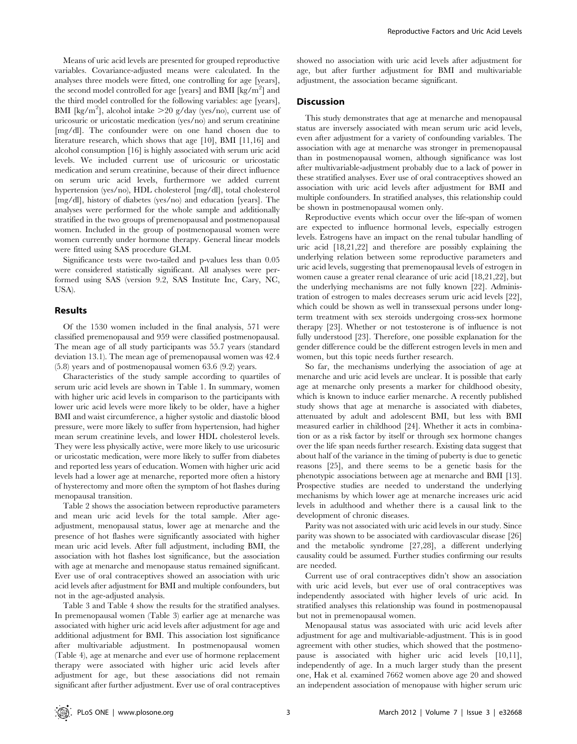Means of uric acid levels are presented for grouped reproductive variables. Covariance-adjusted means were calculated. In the analyses three models were fitted, one controlling for age [years], the second model controlled for age [years] and BMI [kg/m<sup>2</sup>] and the third model controlled for the following variables: age [years], BMI [kg/m<sup>2</sup>], alcohol intake  $>$  20 g/day (yes/no), current use of uricosuric or uricostatic medication (yes/no) and serum creatinine [mg/dl]. The confounder were on one hand chosen due to literature research, which shows that age [10], BMI [11,16] and alcohol consumption [16] is highly associated with serum uric acid levels. We included current use of uricosuric or uricostatic medication and serum creatinine, because of their direct influence on serum uric acid levels, furthermore we added current hypertension (yes/no), HDL cholesterol [mg/dl], total cholesterol [mg/dl], history of diabetes (yes/no) and education [years]. The analyses were performed for the whole sample and additionally stratified in the two groups of premenopausal and postmenopausal women. Included in the group of postmenopausal women were women currently under hormone therapy. General linear models were fitted using SAS procedure GLM.

Significance tests were two-tailed and p-values less than 0.05 were considered statistically significant. All analyses were performed using SAS (version 9.2, SAS Institute Inc, Cary, NC, USA).

#### Results

Of the 1530 women included in the final analysis, 571 were classified premenopausal and 959 were classified postmenopausal. The mean age of all study participants was 55.7 years (standard deviation 13.1). The mean age of premenopausal women was 42.4 (5.8) years and of postmenopausal women 63.6 (9.2) years.

Characteristics of the study sample according to quartiles of serum uric acid levels are shown in Table 1. In summary, women with higher uric acid levels in comparison to the participants with lower uric acid levels were more likely to be older, have a higher BMI and waist circumference, a higher systolic and diastolic blood pressure, were more likely to suffer from hypertension, had higher mean serum creatinine levels, and lower HDL cholesterol levels. They were less physically active, were more likely to use uricosuric or uricostatic medication, were more likely to suffer from diabetes and reported less years of education. Women with higher uric acid levels had a lower age at menarche, reported more often a history of hysterectomy and more often the symptom of hot flashes during menopausal transition.

Table 2 shows the association between reproductive parameters and mean uric acid levels for the total sample. After ageadjustment, menopausal status, lower age at menarche and the presence of hot flashes were significantly associated with higher mean uric acid levels. After full adjustment, including BMI, the association with hot flashes lost significance, but the association with age at menarche and menopause status remained significant. Ever use of oral contraceptives showed an association with uric acid levels after adjustment for BMI and multiple confounders, but not in the age-adjusted analysis.

Table 3 and Table 4 show the results for the stratified analyses. In premenopausal women (Table 3) earlier age at menarche was associated with higher uric acid levels after adjustment for age and additional adjustment for BMI. This association lost significance after multivariable adjustment. In postmenopausal women (Table 4), age at menarche and ever use of hormone replacement therapy were associated with higher uric acid levels after adjustment for age, but these associations did not remain significant after further adjustment. Ever use of oral contraceptives

showed no association with uric acid levels after adjustment for age, but after further adjustment for BMI and multivariable adjustment, the association became significant.

## **Discussion**

This study demonstrates that age at menarche and menopausal status are inversely associated with mean serum uric acid levels, even after adjustment for a variety of confounding variables. The association with age at menarche was stronger in premenopausal than in postmenopausal women, although significance was lost after multivariable-adjustment probably due to a lack of power in these stratified analyses. Ever use of oral contraceptives showed an association with uric acid levels after adjustment for BMI and multiple confounders. In stratified analyses, this relationship could be shown in postmenopausal women only.

Reproductive events which occur over the life-span of women are expected to influence hormonal levels, especially estrogen levels. Estrogens have an impact on the renal tubular handling of uric acid [18,21,22] and therefore are possibly explaining the underlying relation between some reproductive parameters and uric acid levels, suggesting that premenopausal levels of estrogen in women cause a greater renal clearance of uric acid [18,21,22], but the underlying mechanisms are not fully known [22]. Administration of estrogen to males decreases serum uric acid levels [22], which could be shown as well in transsexual persons under longterm treatment with sex steroids undergoing cross-sex hormone therapy [23]. Whether or not testosterone is of influence is not fully understood [23]. Therefore, one possible explanation for the gender difference could be the different estrogen levels in men and women, but this topic needs further research.

So far, the mechanisms underlying the association of age at menarche and uric acid levels are unclear. It is possible that early age at menarche only presents a marker for childhood obesity, which is known to induce earlier menarche. A recently published study shows that age at menarche is associated with diabetes, attenuated by adult and adolescent BMI, but less with BMI measured earlier in childhood [24]. Whether it acts in combination or as a risk factor by itself or through sex hormone changes over the life span needs further research. Existing data suggest that about half of the variance in the timing of puberty is due to genetic reasons [25], and there seems to be a genetic basis for the phenotypic associations between age at menarche and BMI [13]. Prospective studies are needed to understand the underlying mechanisms by which lower age at menarche increases uric acid levels in adulthood and whether there is a causal link to the development of chronic diseases.

Parity was not associated with uric acid levels in our study. Since parity was shown to be associated with cardiovascular disease [26] and the metabolic syndrome [27,28], a different underlying causality could be assumed. Further studies confirming our results are needed.

Current use of oral contraceptives didn't show an association with uric acid levels, but ever use of oral contraceptives was independently associated with higher levels of uric acid. In stratified analyses this relationship was found in postmenopausal but not in premenopausal women.

Menopausal status was associated with uric acid levels after adjustment for age and multivariable-adjustment. This is in good agreement with other studies, which showed that the postmenopause is associated with higher uric acid levels [10,11], independently of age. In a much larger study than the present one, Hak et al. examined 7662 women above age 20 and showed an independent association of menopause with higher serum uric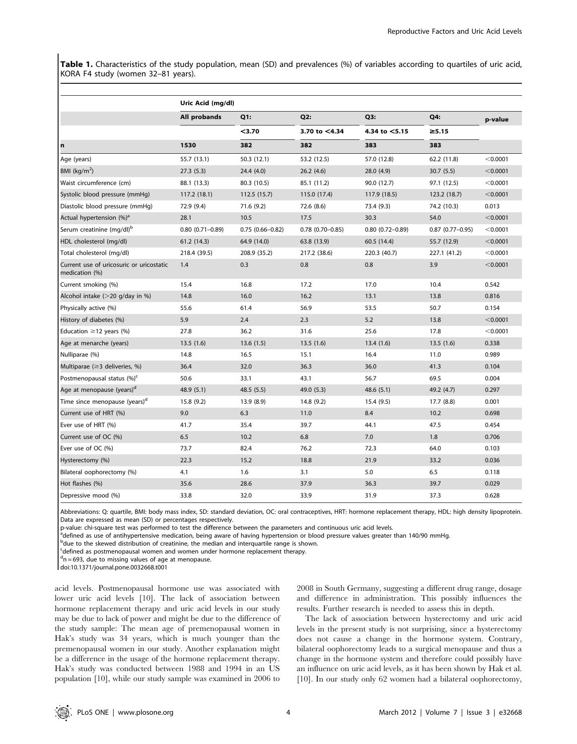Table 1. Characteristics of the study population, mean (SD) and prevalences (%) of variables according to quartiles of uric acid, KORA F4 study (women 32–81 years).

|                                                            | Uric Acid (mg/dl)   |                     |                        |                     |                    |          |
|------------------------------------------------------------|---------------------|---------------------|------------------------|---------------------|--------------------|----------|
|                                                            | All probands        | Q1:                 | Q2:                    | Q3:                 | Q4:                | p-value  |
|                                                            |                     | $3.70$              | 3.70 to $<$ 4.34       | 4.34 to <5.15       | $\geq 5.15$        |          |
| $\mathbf n$                                                | 1530                | 382                 | 382                    | 383                 | 383                |          |
| Age (years)                                                | 55.7 (13.1)         | 50.3 (12.1)         | 53.2 (12.5)            | 57.0 (12.8)         | 62.2 (11.8)        | < 0.0001 |
| BMI ( $kg/m2$ )                                            | 27.3(5.3)           | 24.4 (4.0)          | 26.2(4.6)              | 28.0 (4.9)          | 30.7(5.5)          | < 0.0001 |
| Waist circumference (cm)                                   | 88.1 (13.3)         | 80.3 (10.5)         | 85.1 (11.2)            | 90.0 (12.7)         | 97.1 (12.5)        | < 0.0001 |
| Systolic blood pressure (mmHg)                             | 117.2 (18.1)        | 112.5(15.7)         | 115.0 (17.4)           | 117.9 (18.5)        | 123.2 (18.7)       | < 0.0001 |
| Diastolic blood pressure (mmHq)                            | 72.9 (9.4)          | 71.6 (9.2)          | 72.6 (8.6)             | 73.4 (9.3)          | 74.2 (10.3)        | 0.013    |
| Actual hypertension (%) <sup>a</sup>                       | 28.1                | 10.5                | 17.5                   | 30.3                | 54.0               | < 0.0001 |
| Serum creatinine (mg/dl) <sup>b</sup>                      | $0.80(0.71 - 0.89)$ | $0.75(0.66 - 0.82)$ | $0.78$ $(0.70 - 0.85)$ | $0.80(0.72 - 0.89)$ | $0.87$ (0.77-0.95) | < 0.0001 |
| HDL cholesterol (mg/dl)                                    | 61.2 (14.3)         | 64.9 (14.0)         | 63.8 (13.9)            | 60.5 (14.4)         | 55.7 (12.9)        | < 0.0001 |
| Total cholesterol (mg/dl)                                  | 218.4 (39.5)        | 208.9 (35.2)        | 217.2 (38.6)           | 220.3 (40.7)        | 227.1 (41.2)       | < 0.0001 |
| Current use of uricosuric or uricostatic<br>medication (%) | 1.4                 | 0.3                 | 0.8                    | 0.8                 | 3.9                | < 0.0001 |
| Current smoking (%)                                        | 15.4                | 16.8                | 17.2                   | 17.0                | 10.4               | 0.542    |
| Alcohol intake $(>20$ g/day in %)                          | 14.8                | 16.0                | 16.2                   | 13.1                | 13.8               | 0.816    |
| Physically active (%)                                      | 55.6                | 61.4                | 56.9                   | 53.5                | 50.7               | 0.154    |
| History of diabetes (%)                                    | 5.9                 | 2.4                 | 2.3                    | 5.2                 | 13.8               | < 0.0001 |
| Education $\geq$ 12 years (%)                              | 27.8                | 36.2                | 31.6                   | 25.6                | 17.8               | < 0.0001 |
| Age at menarche (years)                                    | 13.5(1.6)           | 13.6(1.5)           | 13.5(1.6)              | 13.4(1.6)           | 13.5(1.6)          | 0.338    |
| Nulliparae (%)                                             | 14.8                | 16.5                | 15.1                   | 16.4                | 11.0               | 0.989    |
| Multiparae ( $\geq$ 3 deliveries, %)                       | 36.4                | 32.0                | 36.3                   | 36.0                | 41.3               | 0.104    |
| Postmenopausal status (%) <sup>c</sup>                     | 50.6                | 33.1                | 43.1                   | 56.7                | 69.5               | 0.004    |
| Age at menopause (years) <sup>d</sup>                      | 48.9(5.1)           | 48.5(5.5)           | 49.0 (5.3)             | 48.6(5.1)           | 49.2 (4.7)         | 0.297    |
| Time since menopause (years) <sup>d</sup>                  | 15.8(9.2)           | 13.9 (8.9)          | 14.8 (9.2)             | 15.4 (9.5)          | 17.7 (8.8)         | 0.001    |
| Current use of HRT (%)                                     | 9.0                 | 6.3                 | 11.0                   | 8.4                 | 10.2               | 0.698    |
| Ever use of HRT (%)                                        | 41.7                | 35.4                | 39.7                   | 44.1                | 47.5               | 0.454    |
| Current use of OC (%)                                      | 6.5                 | 10.2                | 6.8                    | 7.0                 | 1.8                | 0.706    |
| Ever use of OC (%)                                         | 73.7                | 82.4                | 76.2                   | 72.3                | 64.0               | 0.103    |
| Hysterectomy (%)                                           | 22.3                | 15.2                | 18.8                   | 21.9                | 33.2               | 0.036    |
| Bilateral oophorectomy (%)                                 | 4.1                 | 1.6                 | 3.1                    | 5.0                 | 6.5                | 0.118    |
| Hot flashes (%)                                            | 35.6                | 28.6                | 37.9                   | 36.3                | 39.7               | 0.029    |
| Depressive mood (%)                                        | 33.8                | 32.0                | 33.9                   | 31.9                | 37.3               | 0.628    |

Abbreviations: Q: quartile, BMI: body mass index, SD: standard deviation, OC: oral contraceptives, HRT: hormone replacement therapy, HDL: high density lipoprotein. Data are expressed as mean (SD) or percentages respectively.

p-value: chi-square test was performed to test the difference between the parameters and continuous uric acid levels.

<sup>a</sup>defined as use of antihypertensive medication, being aware of having hypertension or blood pressure values greater than 140/90 mmHg.

<sup>b</sup>due to the skewed distribution of creatinine, the median and interquartile range is shown.

<sup>c</sup>defined as postmenopausal women and women under hormone replacement therapy.

<sup>d</sup>n = 693, due to missing values of age at menopause.

doi:10.1371/journal.pone.0032668.t001

acid levels. Postmenopausal hormone use was associated with lower uric acid levels [10]. The lack of association between hormone replacement therapy and uric acid levels in our study may be due to lack of power and might be due to the difference of the study sample: The mean age of premenopausal women in Hak's study was 34 years, which is much younger than the premenopausal women in our study. Another explanation might be a difference in the usage of the hormone replacement therapy. Hak's study was conducted between 1988 and 1994 in an US population [10], while our study sample was examined in 2006 to 2008 in South Germany, suggesting a different drug range, dosage and difference in administration. This possibly influences the results. Further research is needed to assess this in depth.

The lack of association between hysterectomy and uric acid levels in the present study is not surprising, since a hysterectomy does not cause a change in the hormone system. Contrary, bilateral oophorectomy leads to a surgical menopause and thus a change in the hormone system and therefore could possibly have an influence on uric acid levels, as it has been shown by Hak et al. [10]. In our study only 62 women had a bilateral oophorectomy,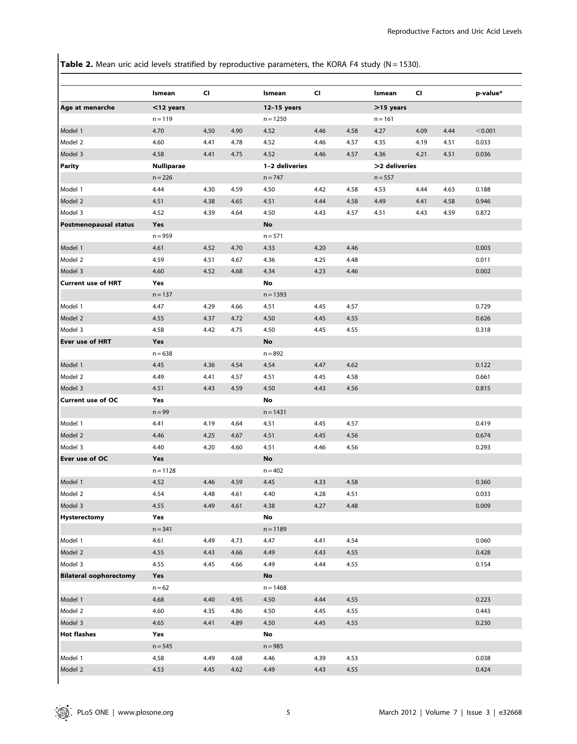Table 2. Mean uric acid levels stratified by reproductive parameters, the KORA F4 study (N = 1530).

|                               | Ismean            | CI   |      | Ismean         | <b>CI</b> |      | Ismean        | CI   |      | p-value* |
|-------------------------------|-------------------|------|------|----------------|-----------|------|---------------|------|------|----------|
| Age at menarche               | $<$ 12 years      |      |      | $12-15$ years  |           |      | >15 years     |      |      |          |
|                               | $n = 119$         |      |      | $n = 1250$     |           |      | $n = 161$     |      |      |          |
| Model 1                       | 4.70              | 4,50 | 4.90 | 4.52           | 4.46      | 4.58 | 4.27          | 4.09 | 4.44 | < 0.001  |
| Model 2                       | 4.60              | 4.41 | 4.78 | 4.52           | 4.46      | 4.57 | 4.35          | 4.19 | 4.51 | 0.033    |
| Model 3                       | 4.58              | 4.41 | 4.75 | 4.52           | 4.46      | 4.57 | 4.36          | 4.21 | 4.51 | 0.036    |
| <b>Parity</b>                 | <b>Nulliparae</b> |      |      | 1-2 deliveries |           |      | >2 deliveries |      |      |          |
|                               | $n = 226$         |      |      | $n = 747$      |           |      | $n = 557$     |      |      |          |
| Model 1                       | 4.44              | 4.30 | 4.59 | 4.50           | 4.42      | 4.58 | 4.53          | 4.44 | 4.63 | 0.188    |
| Model 2                       | 4.51              | 4.38 | 4.65 | 4.51           | 4.44      | 4.58 | 4.49          | 4.41 | 4.58 | 0.946    |
| Model 3                       | 4.52              | 4.39 | 4.64 | 4.50           | 4.43      | 4.57 | 4.51          | 4.43 | 4.59 | 0.872    |
| <b>Postmenopausal status</b>  | Yes               |      |      | <b>No</b>      |           |      |               |      |      |          |
|                               | $n = 959$         |      |      | $n = 571$      |           |      |               |      |      |          |
| Model 1                       | 4.61              | 4.52 | 4.70 | 4.33           | 4.20      | 4.46 |               |      |      | 0.003    |
| Model 2                       | 4.59              | 4.51 | 4.67 | 4.36           | 4.25      | 4.48 |               |      |      | 0.011    |
| Model 3                       | 4.60              | 4.52 | 4.68 | 4.34           | 4.23      | 4.46 |               |      |      | 0.002    |
| <b>Current use of HRT</b>     | Yes               |      |      | No             |           |      |               |      |      |          |
|                               | $n = 137$         |      |      | $n = 1393$     |           |      |               |      |      |          |
| Model 1                       | 4.47              | 4.29 | 4.66 | 4.51           | 4.45      | 4.57 |               |      |      | 0.729    |
| Model 2                       | 4.55              | 4.37 | 4.72 | 4.50           | 4.45      | 4.55 |               |      |      | 0.626    |
| Model 3                       | 4.58              | 4.42 | 4.75 | 4.50           | 4.45      | 4.55 |               |      |      | 0.318    |
| Ever use of HRT               | <b>Yes</b>        |      |      | No             |           |      |               |      |      |          |
|                               | $n = 638$         |      |      | $n = 892$      |           |      |               |      |      |          |
| Model 1                       | 4.45              | 4.36 | 4.54 | 4.54           | 4.47      | 4.62 |               |      |      | 0.122    |
| Model 2                       | 4.49              | 4.41 | 4.57 | 4.51           | 4.45      | 4.58 |               |      |      | 0.661    |
| Model 3                       | 4.51              | 4.43 | 4.59 | 4.50           | 4.43      | 4.56 |               |      |      | 0.815    |
| <b>Current use of OC</b>      | Yes               |      |      | No             |           |      |               |      |      |          |
|                               | $n = 99$          |      |      | $n = 1431$     |           |      |               |      |      |          |
| Model 1                       | 4.41              | 4.19 | 4.64 | 4.51           | 4.45      | 4.57 |               |      |      | 0.419    |
| Model 2                       | 4.46              | 4.25 | 4.67 | 4.51           | 4.45      | 4.56 |               |      |      | 0.674    |
| Model 3                       | 4.40              | 4.20 | 4.60 | 4.51           | 4.46      | 4.56 |               |      |      | 0.293    |
| Ever use of OC                | Yes               |      |      | <b>No</b>      |           |      |               |      |      |          |
|                               | $n = 1128$        |      |      | $n = 402$      |           |      |               |      |      |          |
| Model 1                       | 4.52              | 4.46 | 4.59 | 4.45           | 4.33      | 4.58 |               |      |      | 0.360    |
| Model 2                       | 4.54              | 4.48 | 4.61 | 4.40           | 4.28      | 4.51 |               |      |      | 0.033    |
| Model 3                       | 4.55              | 4.49 | 4.61 | 4.38           | 4.27      | 4.48 |               |      |      | 0.009    |
| <b>Hysterectomy</b>           | Yes               |      |      | No             |           |      |               |      |      |          |
|                               | $n = 341$         |      |      | $n = 1189$     |           |      |               |      |      |          |
| Model 1                       | 4.61              | 4.49 | 4.73 | 4.47           | 4.41      | 4.54 |               |      |      | 0.060    |
| Model 2                       | 4.55              | 4.43 | 4.66 | 4.49           | 4.43      | 4.55 |               |      |      | 0.428    |
| Model 3                       | 4.55              | 4.45 | 4.66 | 4.49           | 4.44      | 4.55 |               |      |      | 0.154    |
| <b>Bilateral oophorectomy</b> | Yes               |      |      | No             |           |      |               |      |      |          |
|                               | $n = 62$          |      |      | $n = 1468$     |           |      |               |      |      |          |
| Model 1                       | 4.68              | 4.40 | 4.95 | 4.50           | 4.44      | 4.55 |               |      |      | 0.223    |
| Model 2                       | 4.60              | 4.35 | 4.86 | 4.50           | 4.45      | 4.55 |               |      |      | 0.443    |
| Model 3                       | 4.65              | 4.41 | 4.89 | 4.50           | 4.45      | 4.55 |               |      |      | 0.230    |
| <b>Hot flashes</b>            | Yes               |      |      | No             |           |      |               |      |      |          |
|                               | $n = 545$         |      |      | $n = 985$      |           |      |               |      |      |          |
| Model 1                       | 4.58              | 4.49 | 4.68 | 4.46           | 4.39      | 4.53 |               |      |      | 0.038    |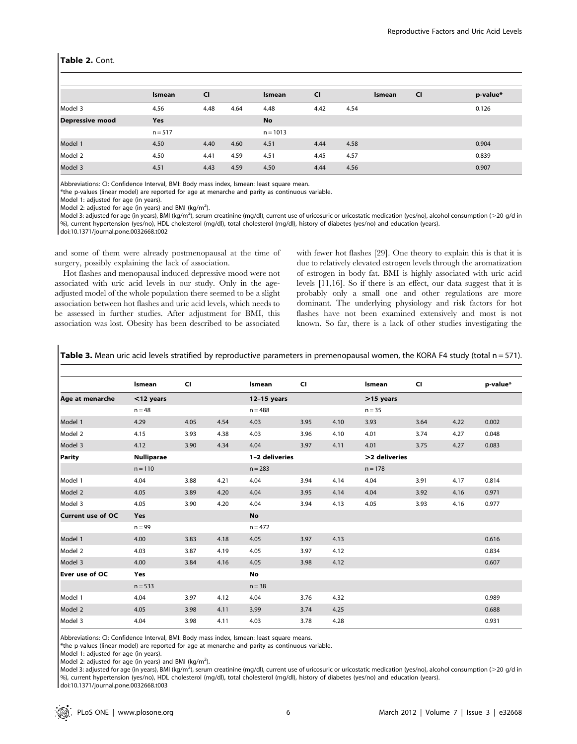#### Table 2. Cont.

|                        | Ismean    | <b>CI</b> |      | Ismean     | <b>CI</b> |      | <b>Ismean</b> | <b>CI</b> | p-value* |
|------------------------|-----------|-----------|------|------------|-----------|------|---------------|-----------|----------|
| Model 3                | 4.56      | 4.48      | 4.64 | 4.48       | 4.42      | 4.54 |               |           | 0.126    |
| <b>Depressive mood</b> | Yes       |           |      | No         |           |      |               |           |          |
|                        | $n = 517$ |           |      | $n = 1013$ |           |      |               |           |          |
| Model 1                | 4.50      | 4.40      | 4.60 | 4.51       | 4.44      | 4.58 |               |           | 0.904    |
| Model 2                | 4.50      | 4.41      | 4.59 | 4.51       | 4.45      | 4.57 |               |           | 0.839    |
| Model 3                | 4.51      | 4.43      | 4.59 | 4.50       | 4.44      | 4.56 |               |           | 0.907    |

Abbreviations: CI: Confidence Interval, BMI: Body mass index, lsmean: least square mean.

\*the p-values (linear model) are reported for age at menarche and parity as continuous variable.

Model 1: adjusted for age (in years).

Model 2: adjusted for age (in years) and BMI (kg/m<sup>2</sup>).

Model 3: adjusted for age (in years), BMI (kg/m<sup>2</sup>), serum creatinine (mg/dl), current use of uricosuric or uricostatic medication (yes/no), alcohol consumption (>20 g/d in %), current hypertension (yes/no), HDL cholesterol (mg/dl), total cholesterol (mg/dl), history of diabetes (yes/no) and education (years). doi:10.1371/journal.pone.0032668.t002

and some of them were already postmenopausal at the time of

surgery, possibly explaining the lack of association. Hot flashes and menopausal induced depressive mood were not associated with uric acid levels in our study. Only in the ageadjusted model of the whole population there seemed to be a slight association between hot flashes and uric acid levels, which needs to be assessed in further studies. After adjustment for BMI, this association was lost. Obesity has been described to be associated

with fewer hot flashes [29]. One theory to explain this is that it is due to relatively elevated estrogen levels through the aromatization of estrogen in body fat. BMI is highly associated with uric acid levels [11,16]. So if there is an effect, our data suggest that it is probably only a small one and other regulations are more dominant. The underlying physiology and risk factors for hot flashes have not been examined extensively and most is not known. So far, there is a lack of other studies investigating the

Table 3. Mean uric acid levels stratified by reproductive parameters in premenopausal women, the KORA F4 study (total n = 571).

|                          | Ismean            | <b>CI</b> |      | Ismean         | <b>CI</b> |      | Ismean        | <b>CI</b> |      | p-value* |
|--------------------------|-------------------|-----------|------|----------------|-----------|------|---------------|-----------|------|----------|
| Age at menarche          | $<$ 12 years      |           |      | $12-15$ years  |           |      | $>15$ years   |           |      |          |
|                          | $n = 48$          |           |      | $n = 488$      |           |      | $n = 35$      |           |      |          |
| Model 1                  | 4.29              | 4.05      | 4.54 | 4.03           | 3.95      | 4.10 | 3.93          | 3.64      | 4.22 | 0.002    |
| Model 2                  | 4.15              | 3.93      | 4.38 | 4.03           | 3.96      | 4.10 | 4.01          | 3.74      | 4.27 | 0.048    |
| Model 3                  | 4.12              | 3.90      | 4.34 | 4.04           | 3.97      | 4.11 | 4.01          | 3.75      | 4.27 | 0.083    |
| Parity                   | <b>Nulliparae</b> |           |      | 1-2 deliveries |           |      | >2 deliveries |           |      |          |
|                          | $n = 110$         |           |      | $n = 283$      |           |      | $n = 178$     |           |      |          |
| Model 1                  | 4.04              | 3.88      | 4.21 | 4.04           | 3.94      | 4.14 | 4.04          | 3.91      | 4.17 | 0.814    |
| Model 2                  | 4.05              | 3.89      | 4.20 | 4.04           | 3.95      | 4.14 | 4.04          | 3.92      | 4.16 | 0.971    |
| Model 3                  | 4.05              | 3.90      | 4.20 | 4.04           | 3.94      | 4.13 | 4.05          | 3.93      | 4.16 | 0.977    |
| <b>Current use of OC</b> | Yes               |           |      | <b>No</b>      |           |      |               |           |      |          |
|                          | $n = 99$          |           |      | $n = 472$      |           |      |               |           |      |          |
| Model 1                  | 4.00              | 3.83      | 4.18 | 4.05           | 3.97      | 4.13 |               |           |      | 0.616    |
| Model 2                  | 4.03              | 3.87      | 4.19 | 4.05           | 3.97      | 4.12 |               |           |      | 0.834    |
| Model 3                  | 4.00              | 3.84      | 4.16 | 4.05           | 3.98      | 4.12 |               |           |      | 0.607    |
| Ever use of OC           | Yes               |           |      | No             |           |      |               |           |      |          |
|                          | $n = 533$         |           |      | $n = 38$       |           |      |               |           |      |          |
| Model 1                  | 4.04              | 3.97      | 4.12 | 4.04           | 3.76      | 4.32 |               |           |      | 0.989    |
| Model 2                  | 4.05              | 3.98      | 4.11 | 3.99           | 3.74      | 4.25 |               |           |      | 0.688    |
| Model 3                  | 4.04              | 3.98      | 4.11 | 4.03           | 3.78      | 4.28 |               |           |      | 0.931    |

Abbreviations: CI: Confidence Interval, BMI: Body mass index, lsmean: least square means.

\*the p-values (linear model) are reported for age at menarche and parity as continuous variable.

Model 1: adjusted for age (in years).

Model 2: adjusted for age (in years) and BMI (kg/m<sup>2</sup>).

Model 3: adjusted for age (in years), BMI (kg/m<sup>2</sup>), serum creatinine (mg/dl), current use of uricosuric or uricostatic medication (yes/no), alcohol consumption (>20 g/d in %), current hypertension (yes/no), HDL cholesterol (mg/dl), total cholesterol (mg/dl), history of diabetes (yes/no) and education (years).

doi:10.1371/journal.pone.0032668.t003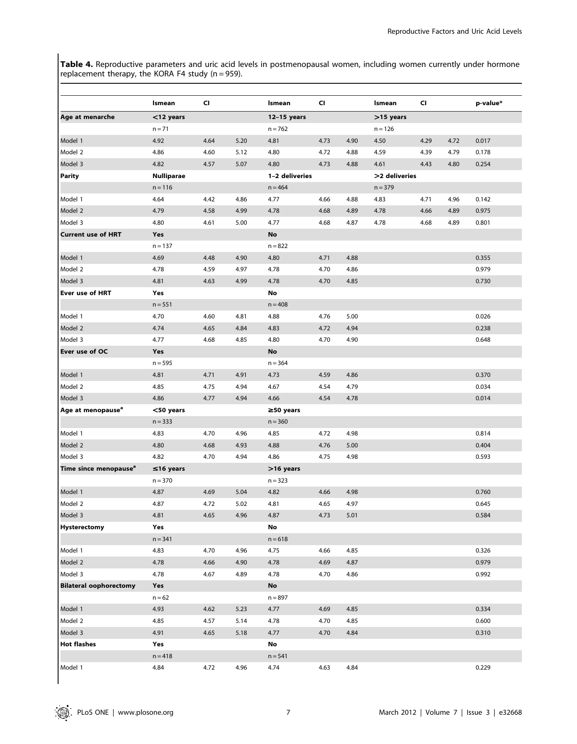Table 4. Reproductive parameters and uric acid levels in postmenopausal women, including women currently under hormone replacement therapy, the KORA F4 study (n = 959).

|                                   | Ismean            | CI   |      | Ismean          | <b>CI</b> |      | Ismean        | <b>CI</b> |      | p-value* |
|-----------------------------------|-------------------|------|------|-----------------|-----------|------|---------------|-----------|------|----------|
| Age at menarche                   | $<$ 12 years      |      |      | $12-15$ years   |           |      | >15 years     |           |      |          |
|                                   | $n = 71$          |      |      | $n = 762$       |           |      | $n = 126$     |           |      |          |
| Model 1                           | 4.92              | 4.64 | 5.20 | 4.81            | 4.73      | 4.90 | 4.50          | 4.29      | 4.72 | 0.017    |
| Model 2                           | 4.86              | 4.60 | 5.12 | 4.80            | 4.72      | 4.88 | 4.59          | 4.39      | 4.79 | 0.178    |
| Model 3                           | 4.82              | 4.57 | 5.07 | 4.80            | 4.73      | 4.88 | 4.61          | 4.43      | 4.80 | 0.254    |
| <b>Parity</b>                     | <b>Nulliparae</b> |      |      | 1-2 deliveries  |           |      | >2 deliveries |           |      |          |
|                                   | $n = 116$         |      |      | $n = 464$       |           |      | $n = 379$     |           |      |          |
| Model 1                           | 4.64              | 4.42 | 4.86 | 4.77            | 4.66      | 4.88 | 4.83          | 4.71      | 4.96 | 0.142    |
| Model 2                           | 4.79              | 4.58 | 4.99 | 4.78            | 4.68      | 4.89 | 4.78          | 4.66      | 4.89 | 0.975    |
| Model 3                           | 4.80              | 4.61 | 5.00 | 4.77            | 4.68      | 4.87 | 4.78          | 4.68      | 4.89 | 0.801    |
| <b>Current use of HRT</b>         | <b>Yes</b>        |      |      | No              |           |      |               |           |      |          |
|                                   | $n = 137$         |      |      | $n = 822$       |           |      |               |           |      |          |
| Model 1                           | 4.69              | 4.48 | 4.90 | 4.80            | 4.71      | 4.88 |               |           |      | 0.355    |
| Model 2                           | 4.78              | 4.59 | 4.97 | 4.78            | 4.70      | 4.86 |               |           |      | 0.979    |
| Model 3                           | 4.81              | 4.63 | 4.99 | 4.78            | 4.70      | 4.85 |               |           |      | 0.730    |
| Ever use of HRT                   | Yes               |      |      | No              |           |      |               |           |      |          |
|                                   | $n = 551$         |      |      | $n = 408$       |           |      |               |           |      |          |
| Model 1                           | 4.70              | 4.60 | 4.81 | 4.88            | 4.76      | 5.00 |               |           |      | 0.026    |
| Model 2                           | 4.74              | 4.65 | 4.84 | 4.83            | 4.72      | 4.94 |               |           |      | 0.238    |
| Model 3                           | 4.77              | 4.68 | 4.85 | 4.80            | 4.70      | 4.90 |               |           |      | 0.648    |
| Ever use of OC                    | Yes               |      |      | No              |           |      |               |           |      |          |
|                                   | $n = 595$         |      |      | $n = 364$       |           |      |               |           |      |          |
| Model 1                           | 4.81              | 4.71 | 4.91 | 4.73            | 4.59      | 4.86 |               |           |      | 0.370    |
| Model 2                           | 4.85              | 4.75 | 4.94 | 4.67            | 4.54      | 4.79 |               |           |      | 0.034    |
| Model 3                           | 4.86              | 4.77 | 4.94 | 4.66            | 4.54      | 4.78 |               |           |      | 0.014    |
| Age at menopause <sup>a</sup>     | $<$ 50 years      |      |      | $\geq$ 50 years |           |      |               |           |      |          |
|                                   | $n = 333$         |      |      | $n = 360$       |           |      |               |           |      |          |
| Model 1                           | 4.83              | 4.70 | 4.96 | 4.85            | 4.72      | 4.98 |               |           |      | 0.814    |
| Model 2                           | 4.80              | 4.68 | 4.93 | 4.88            | 4.76      | 5.00 |               |           |      | 0.404    |
| Model 3                           | 4.82              | 4.70 | 4.94 | 4.86            | 4.75      | 4.98 |               |           |      | 0.593    |
| Time since menopause <sup>a</sup> | $\leq$ 16 years   |      |      | >16 years       |           |      |               |           |      |          |
|                                   | $n = 370$         |      |      | $n = 323$       |           |      |               |           |      |          |
| Model 1                           | 4.87              | 4.69 | 5.04 | 4.82            | 4.66      | 4.98 |               |           |      | 0.760    |
| Model 2                           | 4.87              | 4.72 | 5.02 | 4.81            | 4.65      | 4.97 |               |           |      | 0.645    |
| Model 3                           | 4.81              | 4.65 | 4.96 | 4.87            | 4.73      | 5.01 |               |           |      | 0.584    |
| Hysterectomy                      | Yes               |      |      | No              |           |      |               |           |      |          |
|                                   | $n = 341$         |      |      | $n = 618$       |           |      |               |           |      |          |
| Model 1                           | 4.83              | 4.70 | 4.96 | 4.75            | 4.66      | 4.85 |               |           |      | 0.326    |
| Model 2                           | 4.78              | 4.66 | 4.90 | 4.78            | 4.69      | 4.87 |               |           |      | 0.979    |
| Model 3                           | 4.78              | 4.67 | 4.89 | 4.78            | 4.70      | 4.86 |               |           |      | 0.992    |
| <b>Bilateral oophorectomy</b>     | Yes               |      |      | $\mathsf{No}$   |           |      |               |           |      |          |
|                                   | $n = 62$          |      |      | $n = 897$       |           |      |               |           |      |          |
| Model 1                           | 4.93              | 4.62 | 5.23 | 4.77            | 4.69      | 4.85 |               |           |      | 0.334    |
| Model 2                           | 4.85              | 4.57 | 5.14 | 4.78            | 4.70      | 4.85 |               |           |      | 0.600    |
| Model 3                           | 4.91              | 4.65 | 5.18 | 4.77            | 4.70      | 4.84 |               |           |      | 0.310    |
| <b>Hot flashes</b>                | Yes               |      |      | No              |           |      |               |           |      |          |
|                                   | $n = 418$         |      |      | $n = 541$       |           |      |               |           |      |          |
|                                   |                   |      |      |                 |           | 4.84 |               |           |      |          |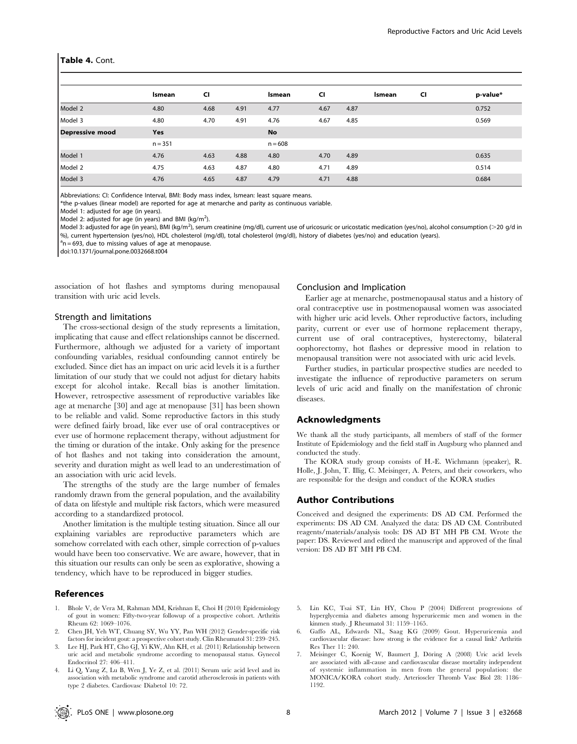#### Table 4. Cont.

|                        | <b>Ismean</b> | <b>CI</b> |      | <b>Ismean</b> | CI   |      | <b>Ismean</b> | <b>CI</b> | p-value* |
|------------------------|---------------|-----------|------|---------------|------|------|---------------|-----------|----------|
| Model 2                | 4.80          | 4.68      | 4.91 | 4.77          | 4.67 | 4.87 |               |           | 0.752    |
| Model 3                | 4.80          | 4.70      | 4.91 | 4.76          | 4.67 | 4.85 |               |           | 0.569    |
| <b>Depressive mood</b> | Yes           |           |      | No            |      |      |               |           |          |
|                        | $n = 351$     |           |      | $n = 608$     |      |      |               |           |          |
| Model 1                | 4.76          | 4.63      | 4.88 | 4.80          | 4.70 | 4.89 |               |           | 0.635    |
| Model 2                | 4.75          | 4.63      | 4.87 | 4.80          | 4.71 | 4.89 |               |           | 0.514    |
| Model 3                | 4.76          | 4.65      | 4.87 | 4.79          | 4.71 | 4.88 |               |           | 0.684    |

Abbreviations: CI: Confidence Interval, BMI: Body mass index, lsmean: least square means.

\*the p-values (linear model) are reported for age at menarche and parity as continuous variable.

Model 1: adjusted for age (in years).

Model 2: adjusted for age (in years) and BMI (kg/m<sup>2</sup>).

Model 3: adjusted for age (in years), BMI (kg/m<sup>2</sup>), serum creatinine (mg/dl), current use of uricosuric or uricostatic medication (yes/no), alcohol consumption (>20 g/d in %), current hypertension (yes/no), HDL cholesterol (mg/dl), total cholesterol (mg/dl), history of diabetes (yes/no) and education (years).

 $a<sup>a</sup>n = 693$ , due to missing values of age at menopause.

doi:10.1371/journal.pone.0032668.t004

association of hot flashes and symptoms during menopausal transition with uric acid levels.

### Strength and limitations

The cross-sectional design of the study represents a limitation, implicating that cause and effect relationships cannot be discerned. Furthermore, although we adjusted for a variety of important confounding variables, residual confounding cannot entirely be excluded. Since diet has an impact on uric acid levels it is a further limitation of our study that we could not adjust for dietary habits except for alcohol intake. Recall bias is another limitation. However, retrospective assessment of reproductive variables like age at menarche [30] and age at menopause [31] has been shown to be reliable and valid. Some reproductive factors in this study were defined fairly broad, like ever use of oral contraceptives or ever use of hormone replacement therapy, without adjustment for the timing or duration of the intake. Only asking for the presence of hot flashes and not taking into consideration the amount, severity and duration might as well lead to an underestimation of an association with uric acid levels.

The strengths of the study are the large number of females randomly drawn from the general population, and the availability of data on lifestyle and multiple risk factors, which were measured according to a standardized protocol.

Another limitation is the multiple testing situation. Since all our explaining variables are reproductive parameters which are somehow correlated with each other, simple correction of p-values would have been too conservative. We are aware, however, that in this situation our results can only be seen as explorative, showing a tendency, which have to be reproduced in bigger studies.

#### References

- 1. Bhole V, de Vera M, Rahman MM, Krishnan E, Choi H (2010) Epidemiology of gout in women: Fifty-two-year followup of a prospective cohort. Arthritis Rheum 62: 1069–1076.
- 2. Chen JH, Yeh WT, Chuang SY, Wu YY, Pan WH (2012) Gender-specific risk factors for incident gout: a prospective cohort study. Clin Rheumatol 31: 239–245.
- 3. Lee HJ, Park HT, Cho GJ, Yi KW, Ahn KH, et al. (2011) Relationship between uric acid and metabolic syndrome according to menopausal status. Gynecol Endocrinol 27: 406–411.
- 4. Li Q, Yang Z, Lu B, Wen J, Ye Z, et al. (2011) Serum uric acid level and its association with metabolic syndrome and carotid atherosclerosis in patients with type 2 diabetes. Cardiovasc Diabetol 10: 72.

#### Conclusion and Implication

Earlier age at menarche, postmenopausal status and a history of oral contraceptive use in postmenopausal women was associated with higher uric acid levels. Other reproductive factors, including parity, current or ever use of hormone replacement therapy, current use of oral contraceptives, hysterectomy, bilateral oophorectomy, hot flashes or depressive mood in relation to menopausal transition were not associated with uric acid levels.

Further studies, in particular prospective studies are needed to investigate the influence of reproductive parameters on serum levels of uric acid and finally on the manifestation of chronic diseases.

# Acknowledgments

We thank all the study participants, all members of staff of the former Institute of Epidemiology and the field staff in Augsburg who planned and conducted the study.

The KORA study group consists of H.-E. Wichmann (speaker), R. Holle, J. John, T. Illig, C. Meisinger, A. Peters, and their coworkers, who are responsible for the design and conduct of the KORA studies

#### Author Contributions

Conceived and designed the experiments: DS AD CM. Performed the experiments: DS AD CM. Analyzed the data: DS AD CM. Contributed reagents/materials/analysis tools: DS AD BT MH PB CM. Wrote the paper: DS. Reviewed and edited the manuscript and approved of the final version: DS AD BT MH PB CM.

- 5. Lin KC, Tsai ST, Lin HY, Chou P (2004) Different progressions of hyperglycemia and diabetes among hyperuricemic men and women in the kinmen study. J Rheumatol 31: 1159–1165.
- 6. Gaffo AL, Edwards NL, Saag KG (2009) Gout. Hyperuricemia and cardiovascular disease: how strong is the evidence for a causal link? Arthritis Res Ther 11: 240.
- Meisinger C, Koenig W, Baumert J, Döring A (2008) Uric acid levels are associated with all-cause and cardiovascular disease mortality independent of systemic inflammation in men from the general population: the MONICA/KORA cohort study. Arterioscler Thromb Vasc Biol 28: 1186– 1192.